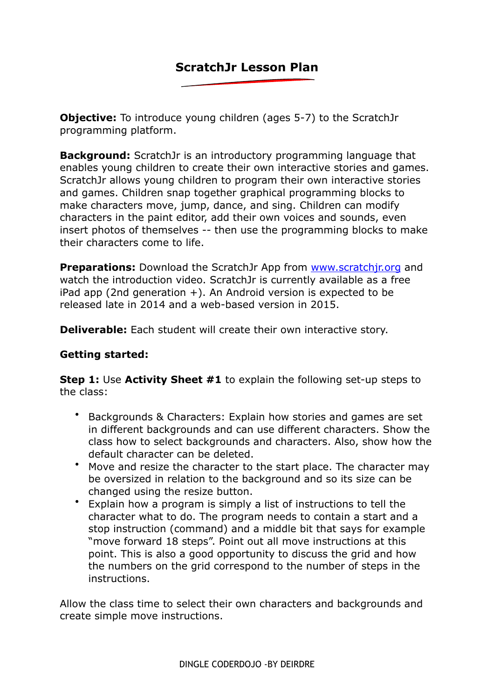## **ScratchJr Lesson Plan**

**Objective:** To introduce young children (ages 5-7) to the ScratchJr programming platform.

**Background:** ScratchJr is an introductory programming language that enables young children to create their own interactive stories and games. ScratchJr allows young children to program their own interactive stories and games. Children snap together graphical programming blocks to make characters move, jump, dance, and sing. Children can modify characters in the paint editor, add their own voices and sounds, even insert photos of themselves -- then use the programming blocks to make their characters come to life.

**Preparations:** Download the ScratchJr App from [www.scratchjr.org](http://www.scratchjr.org) and watch the introduction video. ScratchJr is currently available as a free  $i$ Pad app (2nd generation  $+$ ). An Android version is expected to be released late in 2014 and a web-based version in 2015.

**Deliverable:** Each student will create their own interactive story.

## **Getting started:**

**Step 1:** Use **Activity Sheet #1** to explain the following set-up steps to the class:

- Backgrounds & Characters: Explain how stories and games are set in different backgrounds and can use different characters. Show the class how to select backgrounds and characters. Also, show how the default character can be deleted.
- Move and resize the character to the start place. The character may be oversized in relation to the background and so its size can be changed using the resize button.
- Explain how a program is simply a list of instructions to tell the character what to do. The program needs to contain a start and a stop instruction (command) and a middle bit that says for example "move forward 18 steps". Point out all move instructions at this point. This is also a good opportunity to discuss the grid and how the numbers on the grid correspond to the number of steps in the instructions.

Allow the class time to select their own characters and backgrounds and create simple move instructions.